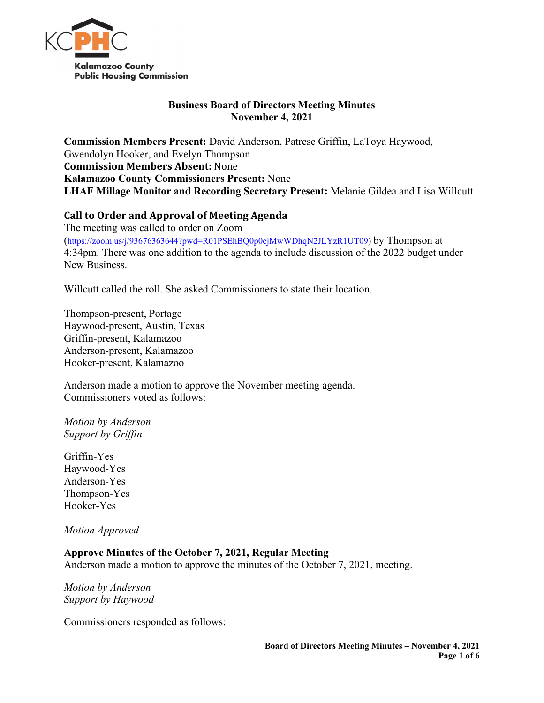

# **Business Board of Directors Meeting Minutes November 4, 2021**

**Commission Members Present:** David Anderson, Patrese Griffin, LaToya Haywood, Gwendolyn Hooker, and Evelyn Thompson **Commission Members Absent:** None **Kalamazoo County Commissioners Present:** None **LHAF Millage Monitor and Recording Secretary Present:** Melanie Gildea and Lisa Willcutt

# **Call to Order and Approval of Meeting Agenda**

The meeting was called to order on Zoom [\(https://zoom.us/j/93676363644?pwd=R01PSEhBQ0p0ejMwWDhqN2JLYzR1UT09\)](https://zoom.us/j/93676363644?pwd=R01PSEhBQ0p0ejMwWDhqN2JLYzR1UT09) by Thompson at 4:34pm. There was one addition to the agenda to include discussion of the 2022 budget under New Business.

Willcutt called the roll. She asked Commissioners to state their location.

Thompson-present, Portage Haywood-present, Austin, Texas Griffin-present, Kalamazoo Anderson-present, Kalamazoo Hooker-present, Kalamazoo

Anderson made a motion to approve the November meeting agenda. Commissioners voted as follows:

*Motion by Anderson Support by Griffin*

Griffin-Yes Haywood-Yes Anderson-Yes Thompson-Yes Hooker-Yes

*Motion Approved*

# **Approve Minutes of the October 7, 2021, Regular Meeting**

Anderson made a motion to approve the minutes of the October 7, 2021, meeting.

*Motion by Anderson Support by Haywood*

Commissioners responded as follows: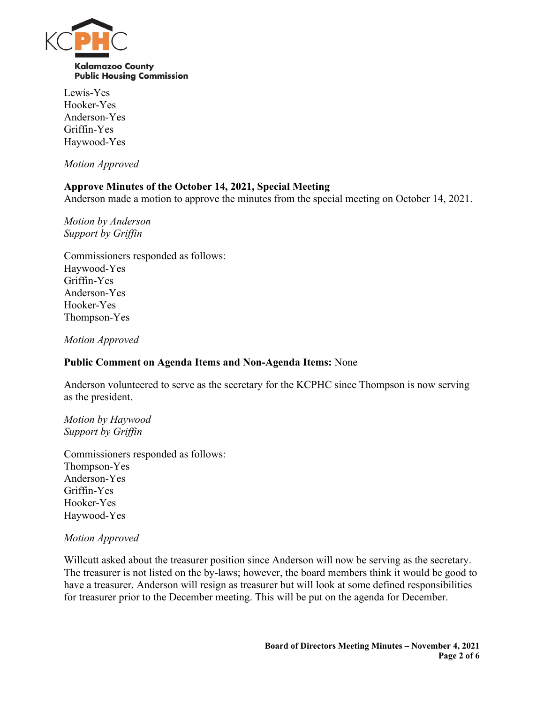

Lewis-Yes Hooker-Yes Anderson-Yes Griffin-Yes Haywood-Yes

*Motion Approved*

# **Approve Minutes of the October 14, 2021, Special Meeting**

Anderson made a motion to approve the minutes from the special meeting on October 14, 2021.

*Motion by Anderson Support by Griffin*

Commissioners responded as follows: Haywood-Yes Griffin-Yes Anderson-Yes Hooker-Yes Thompson-Yes

*Motion Approved*

### **Public Comment on Agenda Items and Non-Agenda Items:** None

Anderson volunteered to serve as the secretary for the KCPHC since Thompson is now serving as the president.

*Motion by Haywood Support by Griffin*

Commissioners responded as follows: Thompson-Yes Anderson-Yes Griffin-Yes Hooker-Yes Haywood-Yes

#### *Motion Approved*

Willcutt asked about the treasurer position since Anderson will now be serving as the secretary. The treasurer is not listed on the by-laws; however, the board members think it would be good to have a treasurer. Anderson will resign as treasurer but will look at some defined responsibilities for treasurer prior to the December meeting. This will be put on the agenda for December.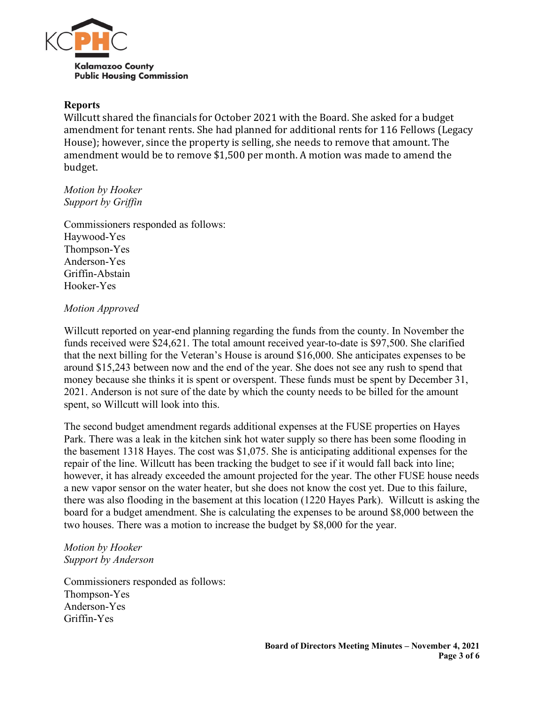

#### **Reports**

Willcutt shared the financials for October 2021 with the Board. She asked for a budget amendment for tenant rents. She had planned for additional rents for 116 Fellows (Legacy House); however, since the property is selling, she needs to remove that amount. The amendment would be to remove \$1,500 per month. A motion was made to amend the budget.

*Motion by Hooker Support by Griffin*

Commissioners responded as follows: Haywood-Yes Thompson-Yes Anderson-Yes Griffin-Abstain Hooker-Yes

# *Motion Approved*

Willcutt reported on year-end planning regarding the funds from the county. In November the funds received were \$24,621. The total amount received year-to-date is \$97,500. She clarified that the next billing for the Veteran's House is around \$16,000. She anticipates expenses to be around \$15,243 between now and the end of the year. She does not see any rush to spend that money because she thinks it is spent or overspent. These funds must be spent by December 31, 2021. Anderson is not sure of the date by which the county needs to be billed for the amount spent, so Willcutt will look into this.

The second budget amendment regards additional expenses at the FUSE properties on Hayes Park. There was a leak in the kitchen sink hot water supply so there has been some flooding in the basement 1318 Hayes. The cost was \$1,075. She is anticipating additional expenses for the repair of the line. Willcutt has been tracking the budget to see if it would fall back into line; however, it has already exceeded the amount projected for the year. The other FUSE house needs a new vapor sensor on the water heater, but she does not know the cost yet. Due to this failure, there was also flooding in the basement at this location (1220 Hayes Park). Willcutt is asking the board for a budget amendment. She is calculating the expenses to be around \$8,000 between the two houses. There was a motion to increase the budget by \$8,000 for the year.

# *Motion by Hooker Support by Anderson*

Commissioners responded as follows: Thompson-Yes Anderson-Yes Griffin-Yes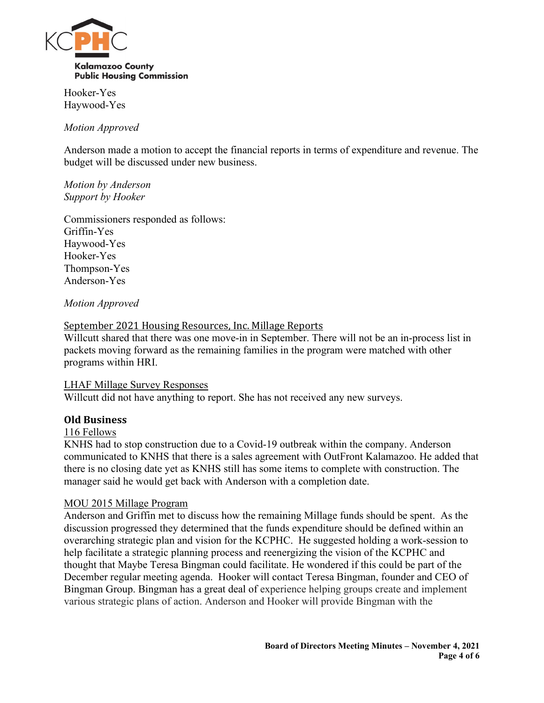

Hooker-Yes Haywood-Yes

# *Motion Approved*

Anderson made a motion to accept the financial reports in terms of expenditure and revenue. The budget will be discussed under new business.

#### *Motion by Anderson Support by Hooker*

Commissioners responded as follows: Griffin-Yes Haywood-Yes Hooker-Yes Thompson-Yes Anderson-Yes

# *Motion Approved*

# September 2021 Housing Resources, Inc. Millage Reports

Willcutt shared that there was one move-in in September. There will not be an in-process list in packets moving forward as the remaining families in the program were matched with other programs within HRI.

#### LHAF Millage Survey Responses

Willcutt did not have anything to report. She has not received any new surveys.

# **Old Business**

#### 116 Fellows

KNHS had to stop construction due to a Covid-19 outbreak within the company. Anderson communicated to KNHS that there is a sales agreement with OutFront Kalamazoo. He added that there is no closing date yet as KNHS still has some items to complete with construction. The manager said he would get back with Anderson with a completion date.

#### MOU 2015 Millage Program

Anderson and Griffin met to discuss how the remaining Millage funds should be spent. As the discussion progressed they determined that the funds expenditure should be defined within an overarching strategic plan and vision for the KCPHC. He suggested holding a work-session to help facilitate a strategic planning process and reenergizing the vision of the KCPHC and thought that Maybe Teresa Bingman could facilitate. He wondered if this could be part of the December regular meeting agenda. Hooker will contact Teresa Bingman, founder and CEO of Bingman Group. Bingman has a great deal of experience helping groups create and implement various strategic plans of action. Anderson and Hooker will provide Bingman with the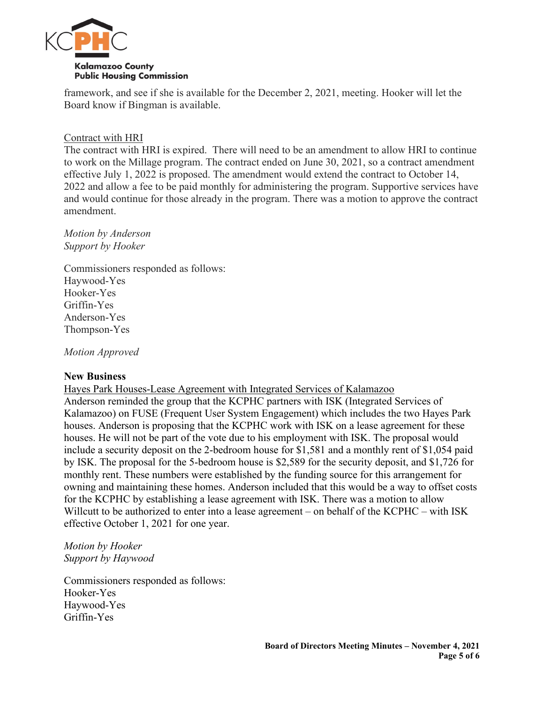

framework, and see if she is available for the December 2, 2021, meeting. Hooker will let the Board know if Bingman is available.

#### Contract with HRI

The contract with HRI is expired. There will need to be an amendment to allow HRI to continue to work on the Millage program. The contract ended on June 30, 2021, so a contract amendment effective July 1, 2022 is proposed. The amendment would extend the contract to October 14, 2022 and allow a fee to be paid monthly for administering the program. Supportive services have and would continue for those already in the program. There was a motion to approve the contract amendment.

#### *Motion by Anderson Support by Hooker*

Commissioners responded as follows: Haywood-Yes Hooker-Yes Griffin-Yes Anderson-Yes Thompson-Yes

*Motion Approved*

#### **New Business**

Hayes Park Houses-Lease Agreement with Integrated Services of Kalamazoo

Anderson reminded the group that the KCPHC partners with ISK (Integrated Services of Kalamazoo) on FUSE (Frequent User System Engagement) which includes the two Hayes Park houses. Anderson is proposing that the KCPHC work with ISK on a lease agreement for these houses. He will not be part of the vote due to his employment with ISK. The proposal would include a security deposit on the 2-bedroom house for \$1,581 and a monthly rent of \$1,054 paid by ISK. The proposal for the 5-bedroom house is \$2,589 for the security deposit, and \$1,726 for monthly rent. These numbers were established by the funding source for this arrangement for owning and maintaining these homes. Anderson included that this would be a way to offset costs for the KCPHC by establishing a lease agreement with ISK. There was a motion to allow Willcutt to be authorized to enter into a lease agreement – on behalf of the KCPHC – with ISK effective October 1, 2021 for one year.

# *Motion by Hooker Support by Haywood*

Commissioners responded as follows: Hooker-Yes Haywood-Yes Griffin-Yes